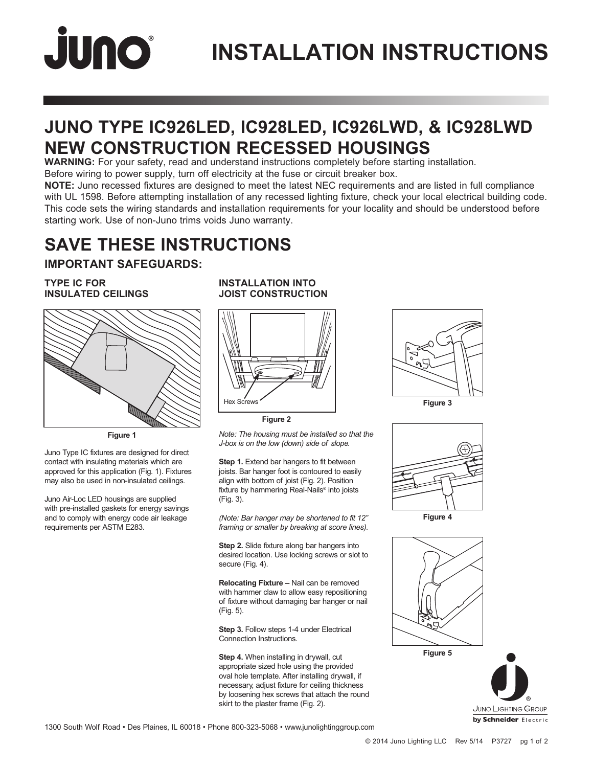# JUNO®

## **INSTALLATION INSTRUCTIONS**

## **JUNO TYPE IC926LED, IC928LED, IC926LWD, & IC928LWD NEW CONSTRUCTION RECESSED HOUSINGS**

**WARNING:** For your safety, read and understand instructions completely before starting installation.

Before wiring to power supply, turn off electricity at the fuse or circuit breaker box.

**NOTE:** Juno recessed fixtures are designed to meet the latest NEC requirements and are listed in full compliance with UL 1598. Before attempting installation of any recessed lighting fixture, check your local electrical building code. This code sets the wiring standards and installation requirements for your locality and should be understood before starting work. Use of non-Juno trims voids Juno warranty.

## **SAVE THESE INSTRUCTIONS**

## **IMPORTANT SAFEGUARDS:**

#### **TYPE IC FOR INSULATED CEILINGS**



**Figure 1**

Juno Type IC fixtures are designed for direct contact with insulating materials which are approved for this application (Fig. 1). Fixtures may also be used in non-insulated ceilings.

Juno Air-Loc LED housings are supplied with pre-installed gaskets for energy savings and to comply with energy code air leakage requirements per ASTM E283.

## **INSTALLATION INTO JOIST CONSTRUCTION**



**Figure 2**

*Note: The housing must be installed so that the J-box is on the low (down) side of slope.*

**Step 1.** Extend bar hangers to fit between joists. Bar hanger foot is contoured to easily align with bottom of joist (Fig. 2). Position fixture by hammering Real-Nails® into joists (Fig. 3).

*(Note: Bar hanger may be shortened to fit 12" framing or smaller by breaking at score lines).*

**Step 2.** Slide fixture along bar hangers into desired location. Use locking screws or slot to secure (Fig. 4).

**Relocating Fixture –** Nail can be removed with hammer claw to allow easy repositioning of fixture without damaging bar hanger or nail (Fig. 5).

**Step 3.** Follow steps 1-4 under Electrical Connection Instructions.

**Step 4.** When installing in drywall, cut appropriate sized hole using the provided oval hole template. After installing drywall, if necessary, adjust fixture for ceiling thickness by loosening hex screws that attach the round skirt to the plaster frame (Fig. 2).





**Figure 4**





1300 South Wolf Road • Des Plaines, IL 60018 • Phone 800-323-5068 • www.junolightinggroup.com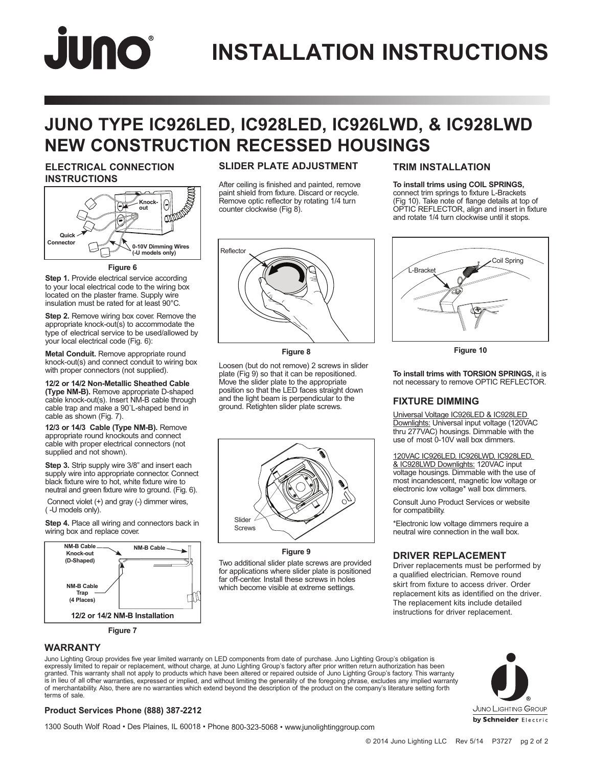# JUNO

## **INSTALLATION INSTRUCTIONS**

## **JUNO TYPE IC926LED, IC928LED, IC926LWD, & IC928LWD NEW CONSTRUCTION RECESSED HOUSINGS**

## **ELECTRICAL CONNECTION INSTRUCTIONS**



**Figure 6**

**Step 1.** Provide electrical service according to your local electrical code to the wiring box located on the plaster frame. Supply wire insulation must be rated for at least 90°C.

**Step 2.** Remove wiring box cover. Remove the appropriate knock-out(s) to accommodate the type of electrical service to be used/allowed by your local electrical code (Fig. 6):

**Metal Conduit.** Remove appropriate round knock-out(s) and connect conduit to wiring box with proper connectors (not supplied).

**12/2 or 14/2 Non-Metallic Sheathed Cable (Type NM-B).** Remove appropriate D-shaped cable knock-out(s). Insert NM-B cable through cable trap and make a 90˚L-shaped bend in cable as shown (Fig. 7).

**12/3 or 14/3 Cable (Type NM-B).** Remove appropriate round knockouts and connect cable with proper electrical connectors (not supplied and not shown).

**Step 3.** Strip supply wire 3/8" and insert each supply wire into appropriate connector. Connect black fixture wire to hot, white fixture wire to neutral and green fixture wire to ground. (Fig. 6).

 Connect violet (+) and gray (-) dimmer wires, ( -U models only).

**Step 4.** Place all wiring and connectors back in wiring box and replace cover.



## **SLIDER PLATE ADJUSTMENT**

After ceiling is finished and painted, remove paint shield from fixture. Discard or recycle. Remove optic reflector by rotating 1/4 turn counter clockwise (Fig 8).



**Figure 8**

Loosen (but do not remove) 2 screws in slider plate (Fig 9) so that it can be repositioned. Move the slider plate to the appropriate position so that the LED faces straight down and the light beam is perpendicular to the ground. Retighten slider plate screws.



**Figure 9**

Two additional slider plate screws are provided for applications where slider plate is positioned far off-center. Install these screws in holes which become visible at extreme settings.

## **TRIM INSTALLATION**

**To install trims using COIL SPRINGS,** connect trim springs to fixture L-Brackets (Fig 10). Take note of flange details at top of OPTIC REFLECTOR, align and insert in fixture and rotate 1/4 turn clockwise until it stops.



**Figure 10**

**To install trims with TORSION SPRINGS,** it is not necessary to remove OPTIC REFLECTOR.

### **FIXTURE DIMMING**

Universal Voltage IC926LED & IC928LED Downlights: Universal input voltage (120VAC thru 277VAC) housings. Dimmable with the use of most 0-10V wall box dimmers.

120VAC IC926LED, IC926LWD, IC928LED, & IC928LWD Downlights: 120VAC input voltage housings. Dimmable with the use of most incandescent, magnetic low voltage or electronic low voltage\* wall box dimmers.

Consult Juno Product Services or website for compatibility.

\*Electronic low voltage dimmers require a neutral wire connection in the wall box.

## **DRIVER REPLACEMENT**

Driver replacements must be performed by a qualified electrician. Remove round skirt from fixture to access driver. Order replacement kits as identified on the driver. The replacement kits include detailed instructions for driver replacement.

### **WARRANTY**

Juno Lighting Group provides five year limited warranty on LED components from date of purchase. Juno Lighting Group's obligation is expressly limited to repair or replacement, without charge, at Juno Lighting Group's factory after prior written return authorization has been granted. This warranty shall not apply to products which have been altered or repaired outside of Juno Lighting Group's factory. This warranty<br>is in lieu of all other warranties, expressed or implied, and without limiting terms of sale.



1300 South Wolf Road • Des Plaines, IL 60018 • Phone 800-323-5068 • www.junolightinggroup.com

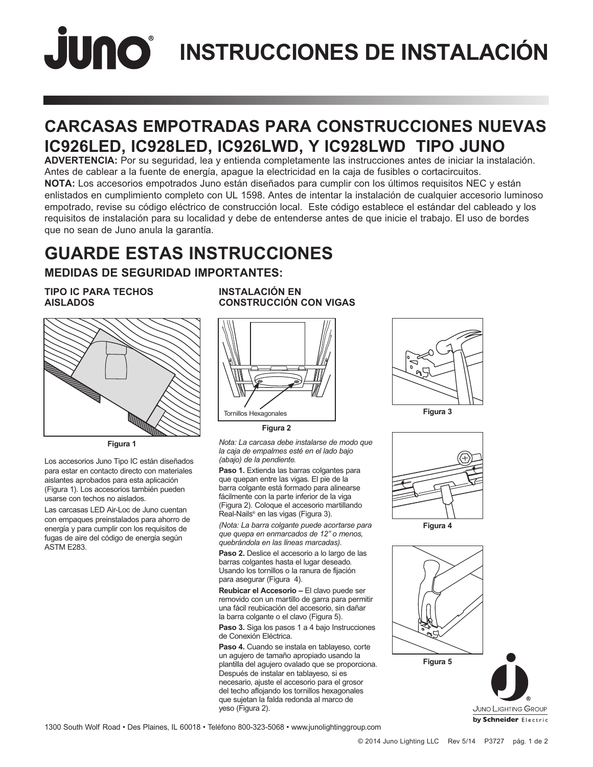## **INSTRUCCIONES DE INSTALACIÓN**

## **CARCASAS EMPOTRADAS PARA CONSTRUCCIONES NUEVAS IC926LED, IC928LED, IC926LWD, Y IC928LWD TIPO JUNO**

**ADVERTENCIA:** Por su seguridad, lea y entienda completamente las instrucciones antes de iniciar la instalación. Antes de cablear a la fuente de energía, apague la electricidad en la caja de fusibles o cortacircuitos. **NOTA:** Los accesorios empotrados Juno están diseñados para cumplir con los últimos requisitos NEC y están enlistados en cumplimiento completo con UL 1598. Antes de intentar la instalación de cualquier accesorio luminoso empotrado, revise su código eléctrico de construcción local. Este código establece el estándar del cableado y los requisitos de instalación para su localidad y debe de entenderse antes de que inicie el trabajo. El uso de bordes que no sean de Juno anula la garantía.

## **GUARDE ESTAS INSTRUCCIONES**

## **MEDIDAS DE SEGURIDAD IMPORTANTES:**

#### **TIPO IC PARA TECHOS AISLADOS**



**Figura 1**

Los accesorios Juno Tipo IC están diseñados para estar en contacto directo con materiales aislantes aprobados para esta aplicación (Figura 1). Los accesorios también pueden usarse con techos no aislados.

Las carcasas LED Air-Loc de Juno cuentan con empaques preinstalados para ahorro de energía y para cumplir con los requisitos de fugas de aire del código de energía según ASTM E283.

## **INSTALACIÓN EN CONSTRUCCIÓN CON VIGAS**



**Figura 2**

*Nota: La carcasa debe instalarse de modo que la caja de empalmes esté en el lado bajo (abajo) de la pendiente.* 

**Paso 1.** Extienda las barras colgantes para que quepan entre las vigas. El pie de la barra colgante está formado para alinearse fácilmente con la parte inferior de la viga (Figura 2). Coloque el accesorio martillando Real-Nails® en las vigas (Figura 3).

*(Nota: La barra colgante puede acortarse para que quepa en enmarcados de 12" o menos, quebrándola en las líneas marcadas).*

**Paso 2.** Deslice el accesorio a lo largo de las barras colgantes hasta el lugar deseado. Usando los tornillos o la ranura de fijación para asegurar (Figura 4).

**Reubicar el Accesorio –** El clavo puede ser removido con un martillo de garra para permitir una fácil reubicación del accesorio, sin dañar la barra colgante o el clavo (Figura 5).

**Paso 3.** Siga los pasos 1 a 4 bajo Instrucciones de Conexión Eléctrica.

**Paso 4.** Cuando se instala en tablayeso, corte un agujero de tamaño apropiado usando la plantilla del agujero ovalado que se proporciona. Después de instalar en tablayeso, si es necesario, ajuste el accesorio para el grosor del techo aflojando los tornillos hexagonales que sujetan la falda redonda al marco de yeso (Figura 2).





**Figura 4**



**JUNO LIGHTING GROUP** by Schneider Electric

1300 South Wolf Road • Des Plaines, IL 60018 • Teléfono 800-323-5068 • www.junolightinggroup.com